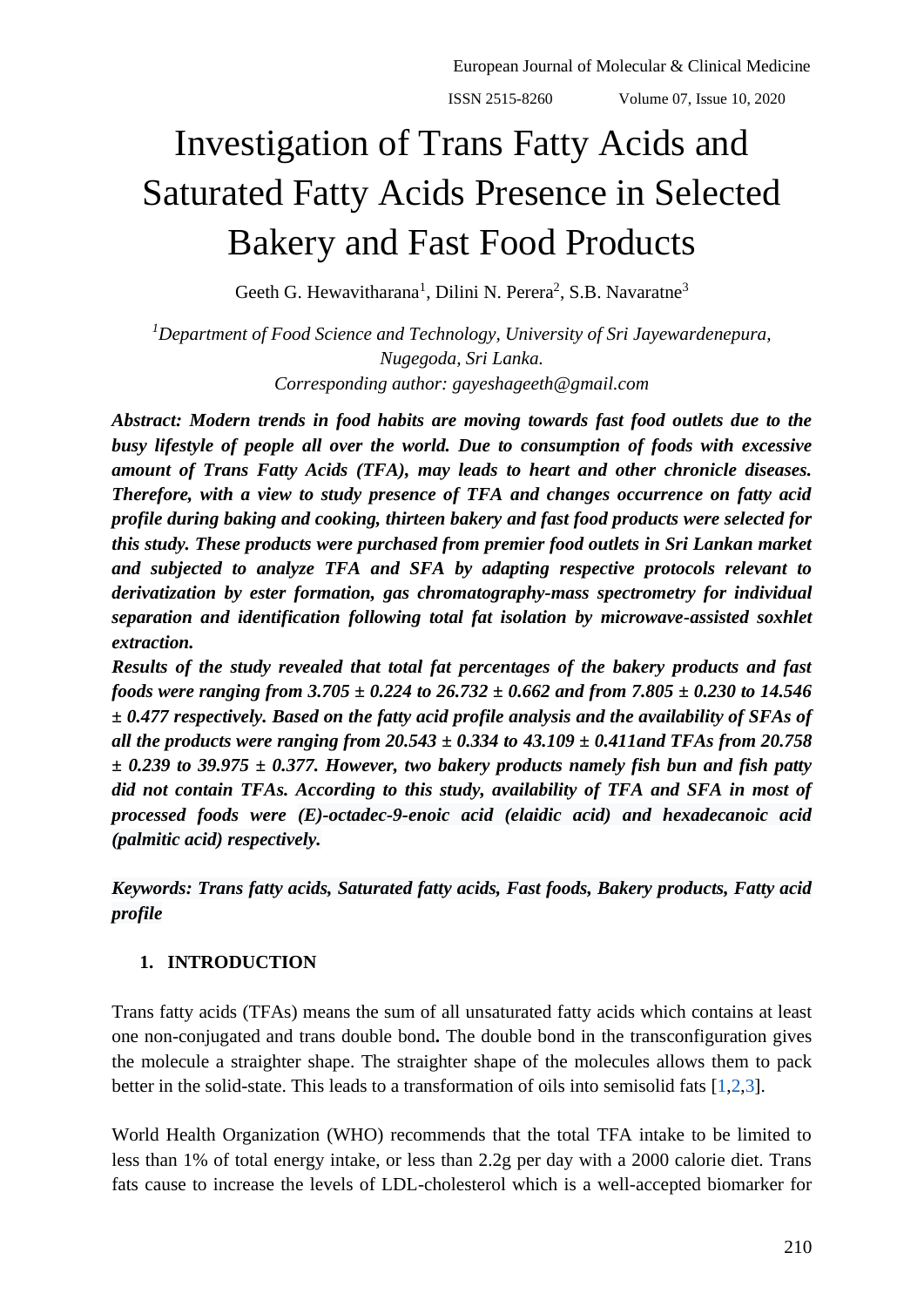European Journal of Molecular & Clinical Medicine ISSN 2515-8260 Volume 07, Issue 10, 2020

# Investigation of Trans Fatty Acids and Saturated Fatty Acids Presence in Selected Bakery and Fast Food Products

Geeth G. Hewavitharana<sup>1</sup>, Dilini N. Perera<sup>2</sup>, S.B. Navaratne<sup>3</sup>

*<sup>1</sup>Department of Food Science and Technology, University of Sri Jayewardenepura, Nugegoda, Sri Lanka. Corresponding author: gayeshageeth@gmail.com*

*Abstract: Modern trends in food habits are moving towards fast food outlets due to the busy lifestyle of people all over the world. Due to consumption of foods with excessive amount of Trans Fatty Acids (TFA), may leads to heart and other chronicle diseases. Therefore, with a view to study presence of TFA and changes occurrence on fatty acid profile during baking and cooking, thirteen bakery and fast food products were selected for this study. These products were purchased from premier food outlets in Sri Lankan market and subjected to analyze TFA and SFA by adapting respective protocols relevant to derivatization by ester formation, gas chromatography-mass spectrometry for individual separation and identification following total fat isolation by microwave-assisted soxhlet extraction.* 

*Results of the study revealed that total fat percentages of the bakery products and fast foods were ranging from 3.705 ± 0.224 to 26.732 ± 0.662 and from 7.805 ± 0.230 to 14.546 ± 0.477 respectively. Based on the fatty acid profile analysis and the availability of SFAs of all the products were ranging from 20.543 ± 0.334 to 43.109 ± 0.411and TFAs from 20.758 ± 0.239 to 39.975 ± 0.377. However, two bakery products namely fish bun and fish patty did not contain TFAs. According to this study, availability of TFA and SFA in most of processed foods were (E)-octadec-9-enoic acid (elaidic acid) and hexadecanoic acid (palmitic acid) respectively.* 

*Keywords: Trans fatty acids, Saturated fatty acids, Fast foods, Bakery products, Fatty acid profile*

## **1. INTRODUCTION**

Trans fatty acids (TFAs) means the sum of all unsaturated fatty acids which contains at least one non-conjugated and trans double bond**.** The double bond in the transconfiguration gives the molecule a straighter shape. The straighter shape of the molecules allows them to pack better in the solid-state. This leads to a transformation of oils into semisolid fats [\[1,](#page-12-0)[2,](#page-12-1)[3\]](#page-12-2).

World Health Organization (WHO) recommends that the total TFA intake to be limited to less than 1% of total energy intake, or less than 2.2g per day with a 2000 calorie diet. Trans fats cause to increase the levels of LDL-cholesterol which is a well-accepted biomarker for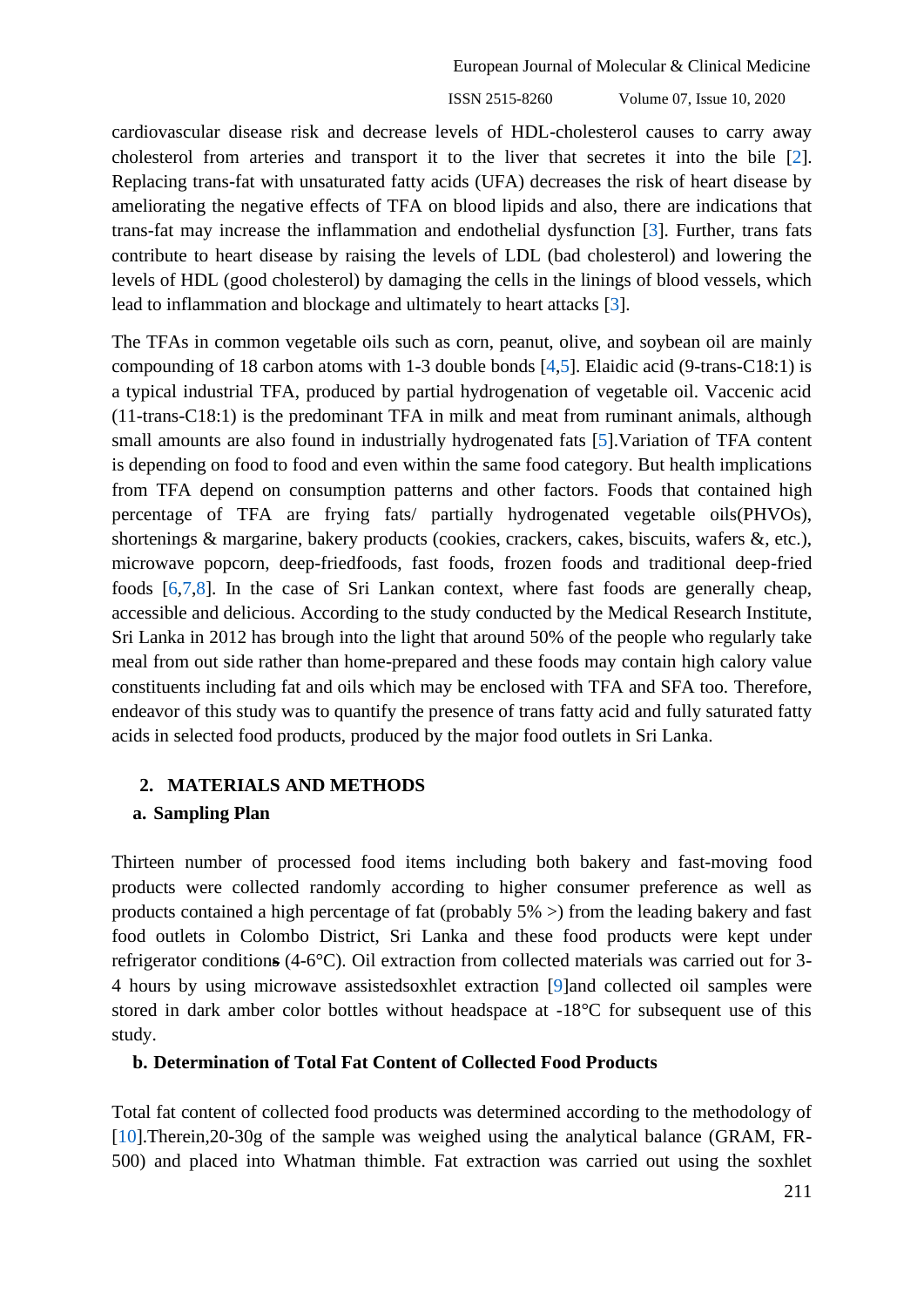ISSN 2515-8260 Volume 07, Issue 10, 2020

cardiovascular disease risk and decrease levels of HDL-cholesterol causes to carry away cholesterol from arteries and transport it to the liver that secretes it into the bile [\[2\]](#page-12-1). Replacing trans*-*fat with unsaturated fatty acids (UFA) decreases the risk of heart disease by ameliorating the negative effects of TFA on blood lipids and also, there are indications that trans*-*fat may increase the inflammation and endothelial dysfunction [\[3\]](#page-12-2). Further, trans fats contribute to heart disease by raising the levels of LDL (bad cholesterol) and lowering the levels of HDL (good cholesterol) by damaging the cells in the linings of blood vessels, which lead to inflammation and blockage and ultimately to heart attacks [\[3\]](#page-12-2).

The TFAs in common vegetable oils such as corn, peanut, olive, and soybean oil are mainly compounding of 18 carbon atoms with 1-3 double bonds [\[4](#page-12-3)[,5\]](#page-12-4). Elaidic acid (9-trans-C18:1) is a typical industrial TFA, produced by partial hydrogenation of vegetable oil. Vaccenic acid (11-trans-C18:1) is the predominant TFA in milk and meat from ruminant animals, although small amounts are also found in industrially hydrogenated fats [\[5\]](#page-12-4).Variation of TFA content is depending on food to food and even within the same food category. But health implications from TFA depend on consumption patterns and other factors. Foods that contained high percentage of TFA are frying fats/ partially hydrogenated vegetable oils(PHVOs), shortenings & margarine, bakery products (cookies, crackers, cakes, biscuits, wafers &, etc.), microwave popcorn, deep-friedfoods, fast foods, frozen foods and traditional deep-fried foods [\[6,](#page-12-5)[7,](#page-12-6)[8\]](#page-12-7). In the case of Sri Lankan context, where fast foods are generally cheap, accessible and delicious. According to the study conducted by the Medical Research Institute, Sri Lanka in 2012 has brough into the light that around 50% of the people who regularly take meal from out side rather than home-prepared and these foods may contain high calory value constituents including fat and oils which may be enclosed with TFA and SFA too. Therefore, endeavor of this study was to quantify the presence of trans fatty acid and fully saturated fatty acids in selected food products, produced by the major food outlets in Sri Lanka.

## **2. MATERIALS AND METHODS**

#### **a. Sampling Plan**

Thirteen number of processed food items including both bakery and fast-moving food products were collected randomly according to higher consumer preference as well as products contained a high percentage of fat (probably 5% >) from the leading bakery and fast food outlets in Colombo District, Sri Lanka and these food products were kept under refrigerator condition**s** (4-6°C). Oil extraction from collected materials was carried out for 3- 4 hours by using microwave assistedsoxhlet extraction [\[9\]](#page-12-8)and collected oil samples were stored in dark amber color bottles without headspace at -18°C for subsequent use of this study.

## **b. Determination of Total Fat Content of Collected Food Products**

Total fat content of collected food products was determined according to the methodology of [\[10\]](#page-12-9).Therein,20-30g of the sample was weighed using the analytical balance (GRAM, FR-500) and placed into Whatman thimble. Fat extraction was carried out using the soxhlet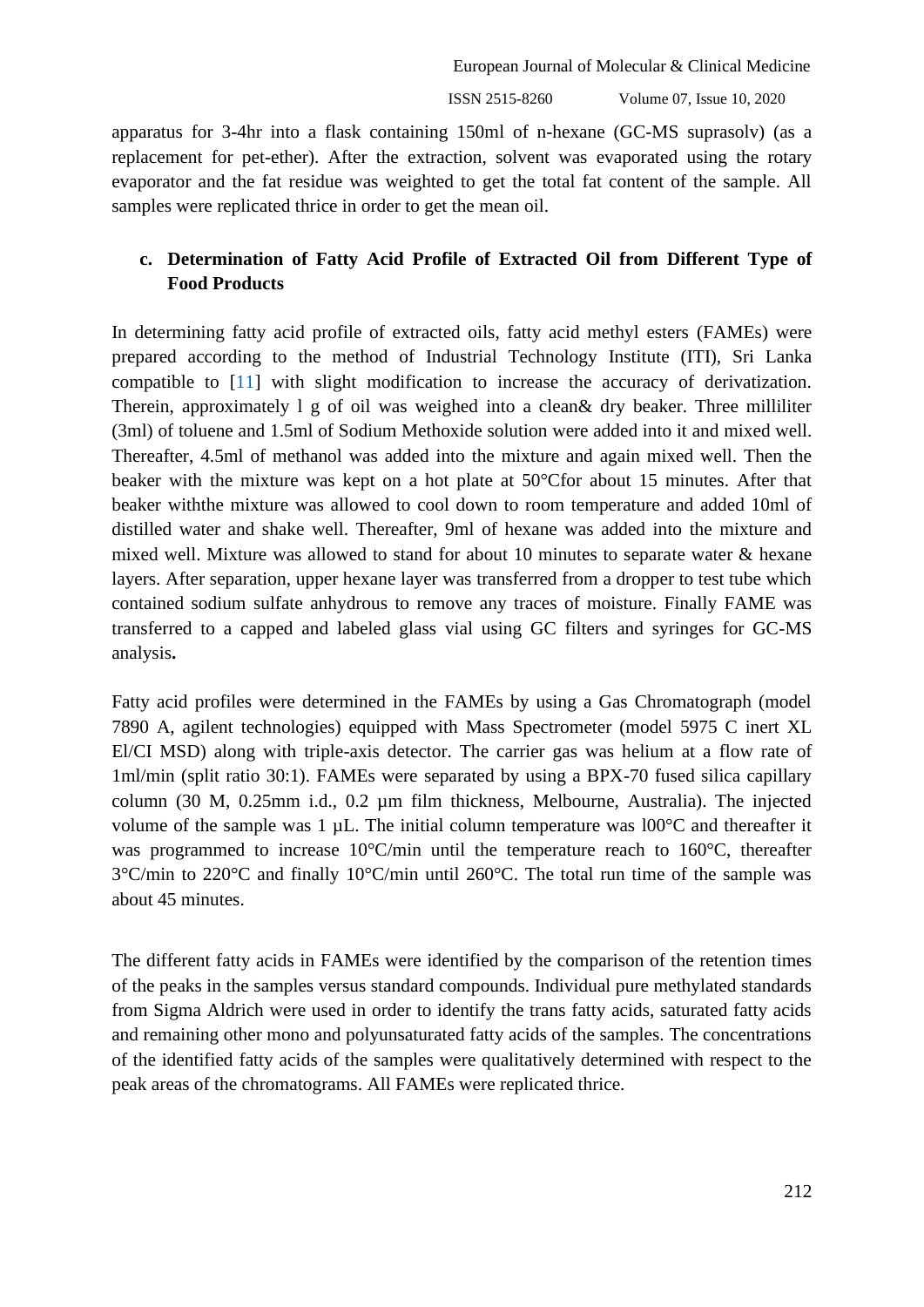ISSN 2515-8260 Volume 07, Issue 10, 2020

apparatus for 3-4hr into a flask containing 150ml of n-hexane (GC-MS suprasolv) (as a replacement for pet-ether). After the extraction, solvent was evaporated using the rotary evaporator and the fat residue was weighted to get the total fat content of the sample. All samples were replicated thrice in order to get the mean oil.

# **c. Determination of Fatty Acid Profile of Extracted Oil from Different Type of Food Products**

In determining fatty acid profile of extracted oils, fatty acid methyl esters (FAMEs) were prepared according to the method of Industrial Technology Institute (ITI), Sri Lanka compatible to [\[11\]](#page-12-10) with slight modification to increase the accuracy of derivatization. Therein, approximately l g of oil was weighed into a clean& dry beaker. Three milliliter (3ml) of toluene and 1.5ml of Sodium Methoxide solution were added into it and mixed well. Thereafter, 4.5ml of methanol was added into the mixture and again mixed well. Then the beaker with the mixture was kept on a hot plate at 50°Cfor about 15 minutes. After that beaker withthe mixture was allowed to cool down to room temperature and added 10ml of distilled water and shake well. Thereafter, 9ml of hexane was added into the mixture and mixed well. Mixture was allowed to stand for about 10 minutes to separate water & hexane layers. After separation, upper hexane layer was transferred from a dropper to test tube which contained sodium sulfate anhydrous to remove any traces of moisture. Finally FAME was transferred to a capped and labeled glass vial using GC filters and syringes for GC-MS analysis**.**

Fatty acid profiles were determined in the FAMEs by using a Gas Chromatograph (model 7890 A, agilent technologies) equipped with Mass Spectrometer (model 5975 C inert XL El/CI MSD) along with triple-axis detector. The carrier gas was helium at a flow rate of 1ml/min (split ratio 30:1). FAMEs were separated by using a BPX-70 fused silica capillary column (30 M, 0.25mm i.d., 0.2 µm film thickness, Melbourne, Australia). The injected volume of the sample was 1 µL. The initial column temperature was l00°C and thereafter it was programmed to increase 10°C/min until the temperature reach to 160°C, thereafter 3°C/min to 220°C and finally 10°C/min until 260°C. The total run time of the sample was about 45 minutes.

The different fatty acids in FAMEs were identified by the comparison of the retention times of the peaks in the samples versus standard compounds. Individual pure methylated standards from Sigma Aldrich were used in order to identify the trans fatty acids, saturated fatty acids and remaining other mono and polyunsaturated fatty acids of the samples. The concentrations of the identified fatty acids of the samples were qualitatively determined with respect to the peak areas of the chromatograms. All FAMEs were replicated thrice.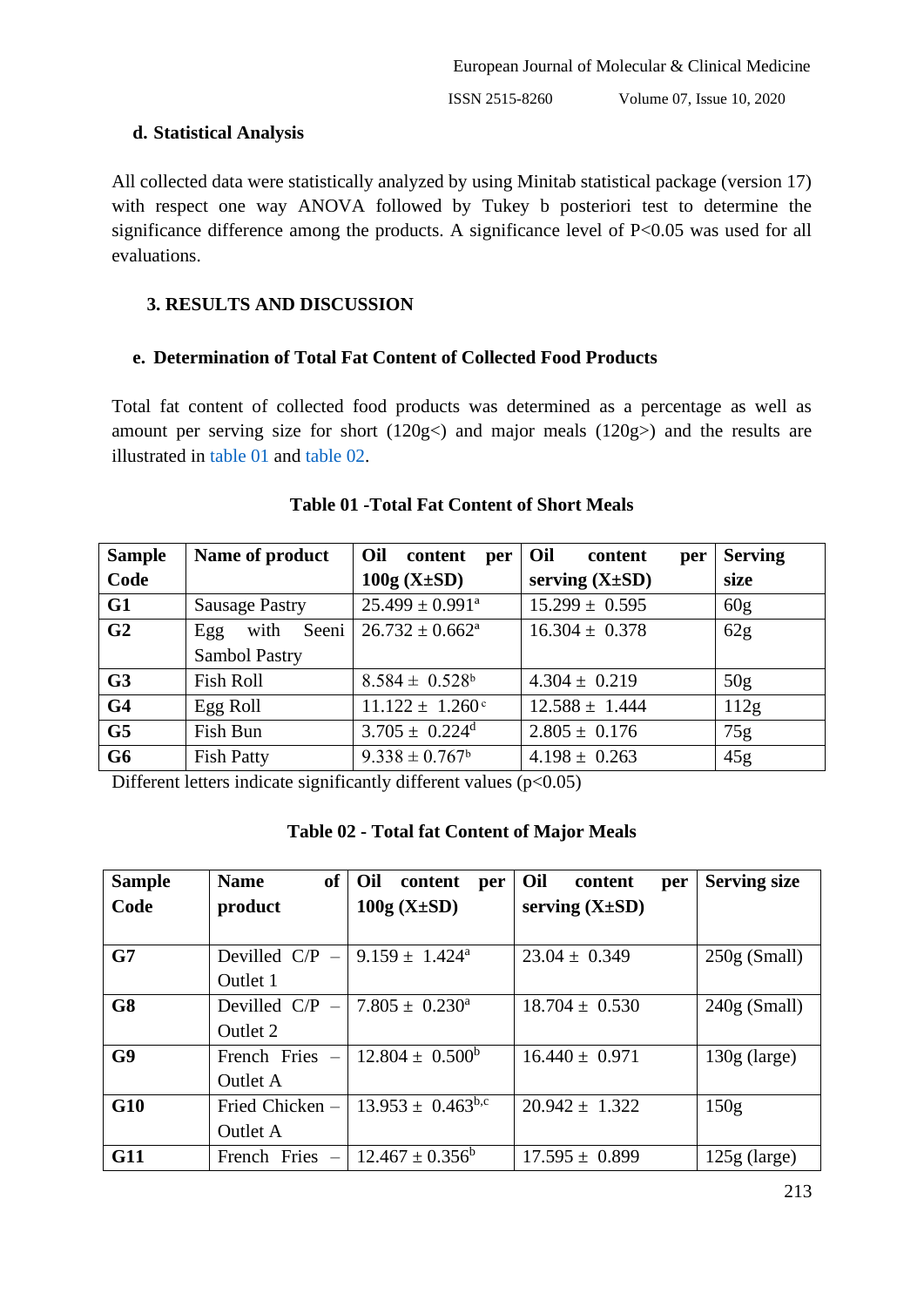## **d. Statistical Analysis**

All collected data were statistically analyzed by using Minitab statistical package (version 17) with respect one way ANOVA followed by Tukey b posteriori test to determine the significance difference among the products. A significance level of P<0.05 was used for all evaluations.

# **3. RESULTS AND DISCUSSION**

# **e. Determination of Total Fat Content of Collected Food Products**

Total fat content of collected food products was determined as a percentage as well as amount per serving size for short (120g<) and major meals (120g>) and the results are illustrated in [table 01](#page-3-0) and [table 02.](#page-3-1)

<span id="page-3-0"></span>

| <b>Sample</b>  | Name of product       | Oil<br>content<br>per           | Oil<br>content<br>per | <b>Serving</b>  |
|----------------|-----------------------|---------------------------------|-----------------------|-----------------|
| Code           |                       | $100g (X \pm SD)$               | serving $(X \pm SD)$  | size            |
| G1             | <b>Sausage Pastry</b> | $25.499 \pm 0.991^{\mathrm{a}}$ | $15.299 \pm 0.595$    | 60 <sub>g</sub> |
| G <sub>2</sub> | Seeni<br>with<br>Egg  | $26.732 \pm 0.662^a$            | $16.304 \pm 0.378$    | 62g             |
|                | Sambol Pastry         |                                 |                       |                 |
| G <sub>3</sub> | Fish Roll             | $8.584 \pm 0.528$ <sup>b</sup>  | $4.304 \pm 0.219$     | 50 <sub>g</sub> |
| G <sub>4</sub> | Egg Roll              | $11.122 \pm 1.260$ <sup>c</sup> | $12.588 \pm 1.444$    | 112g            |
| G <sub>5</sub> | Fish Bun              | $3.705 \pm 0.224^d$             | $2.805 \pm 0.176$     | 75g             |
| G <sub>6</sub> | <b>Fish Patty</b>     | $9.338 \pm 0.767$ <sup>b</sup>  | $4.198 \pm 0.263$     | 45g             |

# **Table 01 -Total Fat Content of Short Meals**

<span id="page-3-1"></span>Different letters indicate significantly different values  $(p<0.05)$ 

| Table 02 - Total fat Content of Major Meals |  |  |  |  |  |  |
|---------------------------------------------|--|--|--|--|--|--|
|---------------------------------------------|--|--|--|--|--|--|

| <b>Sample</b>  | <b>of</b><br><b>Name</b>                         | Oil<br>content<br>per      | Oil<br>content<br>per | <b>Serving size</b> |
|----------------|--------------------------------------------------|----------------------------|-----------------------|---------------------|
| Code           | product                                          | $100g (X \pm SD)$          | serving $(X \pm SD)$  |                     |
|                |                                                  |                            |                       |                     |
| G7             | Devilled C/P $-$ 9.159 $\pm$ 1.424 <sup>a</sup>  |                            | $23.04 \pm 0.349$     | $250g$ (Small)      |
|                | Outlet 1                                         |                            |                       |                     |
| G8             | Devilled C/P $-$ 7.805 $\pm$ 0.230 <sup>a</sup>  |                            | $18.704 \pm 0.530$    | $240g$ (Small)      |
|                | Outlet 2                                         |                            |                       |                     |
| G <sub>9</sub> | French Fries $-$                                 | $12.804 \pm 0.500^{\circ}$ | $16.440 \pm 0.971$    | $130g$ (large)      |
|                | <b>Outlet A</b>                                  |                            |                       |                     |
| G10            | Fried Chicken -                                  | $13.953 \pm 0.463^{b,c}$   | $20.942 \pm 1.322$    | 150g                |
|                | Outlet A                                         |                            |                       |                     |
| <b>G11</b>     | French Fries $-$ 12.467 $\pm$ 0.356 <sup>b</sup> |                            | $17.595 \pm 0.899$    | $125g$ (large)      |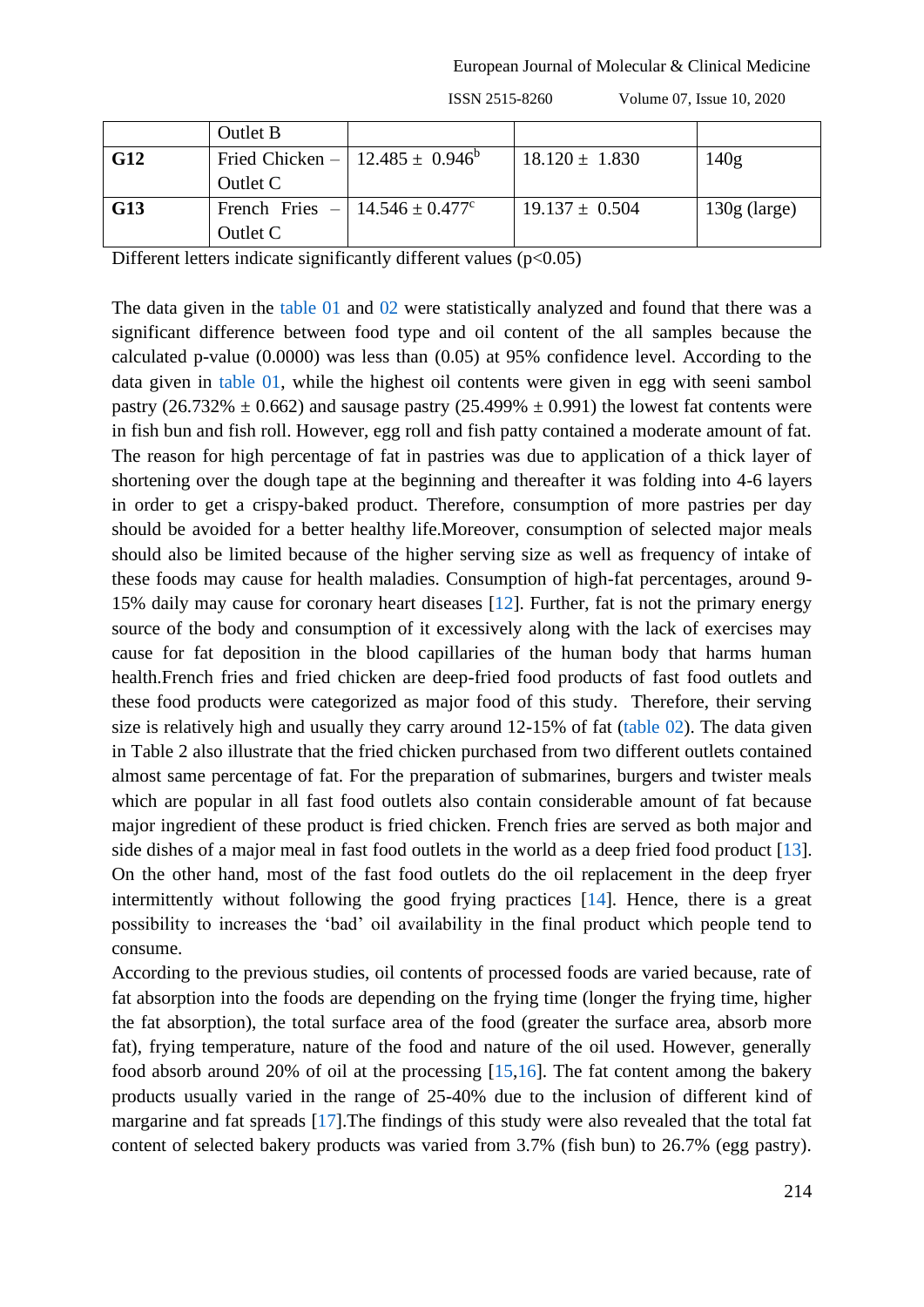|            | <b>Outlet B</b>                                   |                    |                |
|------------|---------------------------------------------------|--------------------|----------------|
| G12        | Fried Chicken –   12.485 $\pm$ 0.946 <sup>b</sup> | $18.120 \pm 1.830$ | 140g           |
|            | Outlet C                                          |                    |                |
| <b>G13</b> | French Fries $-   14.546 \pm 0.477$ °             | $19.137 \pm 0.504$ | $130g$ (large) |
|            | Outlet C                                          |                    |                |

ISSN 2515-8260 Volume 07, Issue 10, 2020

Different letters indicate significantly different values  $(p<0.05)$ 

The data given in the [table 01](#page-3-0) and [02](#page-3-1) were statistically analyzed and found that there was a significant difference between food type and oil content of the all samples because the calculated p-value (0.0000) was less than (0.05) at 95% confidence level. According to the data given in [table 01,](#page-3-0) while the highest oil contents were given in egg with seeni sambol pastry (26.732%  $\pm$  0.662) and sausage pastry (25.499%  $\pm$  0.991) the lowest fat contents were in fish bun and fish roll. However, egg roll and fish patty contained a moderate amount of fat. The reason for high percentage of fat in pastries was due to application of a thick layer of shortening over the dough tape at the beginning and thereafter it was folding into 4-6 layers in order to get a crispy-baked product. Therefore, consumption of more pastries per day should be avoided for a better healthy life.Moreover, consumption of selected major meals should also be limited because of the higher serving size as well as frequency of intake of these foods may cause for health maladies. Consumption of high-fat percentages, around 9- 15% daily may cause for coronary heart diseases [\[12\]](#page-12-11). Further, fat is not the primary energy source of the body and consumption of it excessively along with the lack of exercises may cause for fat deposition in the blood capillaries of the human body that harms human health.French fries and fried chicken are deep-fried food products of fast food outlets and these food products were categorized as major food of this study. Therefore, their serving size is relatively high and usually they carry around 12-15% of fat [\(table 02\)](#page-3-1). The data given in Table 2 also illustrate that the fried chicken purchased from two different outlets contained almost same percentage of fat. For the preparation of submarines, burgers and twister meals which are popular in all fast food outlets also contain considerable amount of fat because major ingredient of these product is fried chicken. French fries are served as both major and side dishes of a major meal in fast food outlets in the world as a deep fried food product [13]. On the other hand, most of the fast food outlets do the oil replacement in the deep fryer intermittently without following the good frying practices [\[14\]](#page-13-0). Hence, there is a great possibility to increases the 'bad' oil availability in the final product which people tend to consume.

According to the previous studies, oil contents of processed foods are varied because, rate of fat absorption into the foods are depending on the frying time (longer the frying time, higher the fat absorption), the total surface area of the food (greater the surface area, absorb more fat), frying temperature, nature of the food and nature of the oil used. However, generally food absorb around 20% of oil at the processing [\[15](#page-13-1)[,16\]](#page-13-2). The fat content among the bakery products usually varied in the range of 25-40% due to the inclusion of different kind of margarine and fat spreads [\[17\]](#page-13-3).The findings of this study were also revealed that the total fat content of selected bakery products was varied from 3.7% (fish bun) to 26.7% (egg pastry).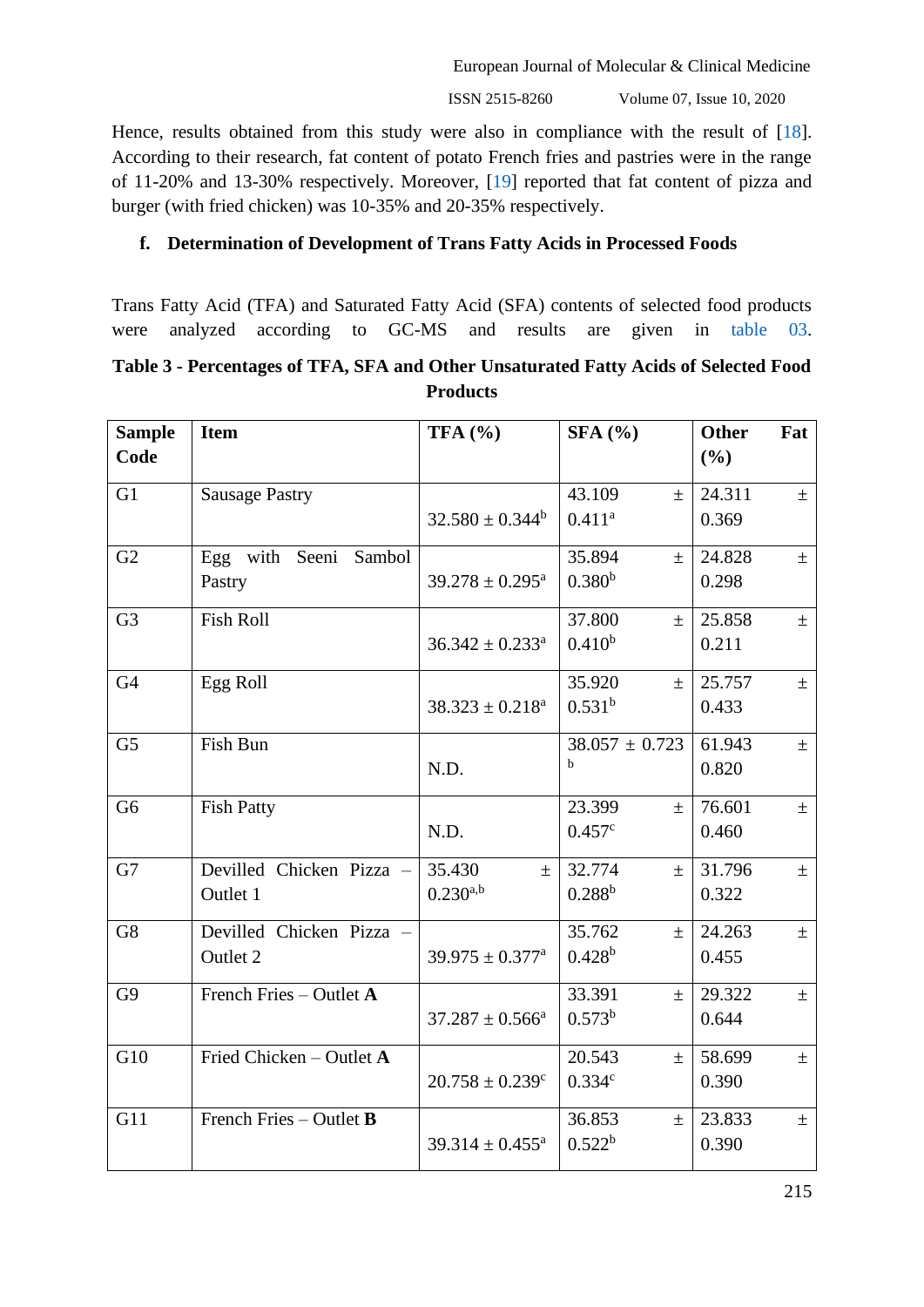ISSN 2515-8260 Volume 07, Issue 10, 2020

Hence, results obtained from this study were also in compliance with the result of [\[18\]](#page-13-4). According to their research, fat content of potato French fries and pastries were in the range of 11-20% and 13-30% respectively. Moreover, [\[19\]](#page-13-5) reported that fat content of pizza and burger (with fried chicken) was 10-35% and 20-35% respectively.

# **f. Determination of Development of Trans Fatty Acids in Processed Foods**

Trans Fatty Acid (TFA) and Saturated Fatty Acid (SFA) contents of selected food products were analyzed according to GC-MS and results are given in [table 03.](#page-5-0)

# <span id="page-5-0"></span>**Table 3 - Percentages of TFA, SFA and Other Unsaturated Fatty Acids of Selected Food Products**

| <b>Sample</b><br>Code | <b>Item</b>              | TFA $(%$                        | SFA(%)             | <b>Other</b><br>Fat<br>(%) |
|-----------------------|--------------------------|---------------------------------|--------------------|----------------------------|
| G1                    | <b>Sausage Pastry</b>    |                                 | 43.109<br>$\pm$    | 24.311<br>$\pm$            |
|                       |                          | $32.580 \pm 0.344^b$            | $0.411^{a}$        | 0.369                      |
| G2                    | with Seeni Sambol<br>Egg |                                 | 35.894<br>$\pm$    | 24.828<br>$\pm$            |
|                       | Pastry                   | $39.278 \pm 0.295^{\text{a}}$   | 0.380 <sup>b</sup> | 0.298                      |
| G <sub>3</sub>        | <b>Fish Roll</b>         |                                 | 37.800<br>$\pm$    | 25.858<br>$\pm$            |
|                       |                          | $36.342 \pm 0.233$ <sup>a</sup> | $0.410^{b}$        | 0.211                      |
| G <sub>4</sub>        | Egg Roll                 |                                 | 35.920<br>$\pm$    | 25.757<br>$\pm$            |
|                       |                          | $38.323 \pm 0.218^a$            | $0.531^{b}$        | 0.433                      |
| G <sub>5</sub>        | Fish Bun                 |                                 | $38.057 \pm 0.723$ | 61.943<br>$\pm$            |
|                       |                          | N.D.                            | $\mathbf b$        | 0.820                      |
| G <sub>6</sub>        | <b>Fish Patty</b>        |                                 | 23.399<br>$\pm$    | 76.601<br>$\pm$            |
|                       |                          | N.D.                            | 0.457c             | 0.460                      |
| G7                    | Devilled Chicken Pizza - | 35.430<br>$\pm$                 | 32.774<br>$\pm$    | 31.796<br>$\pm$            |
|                       | Outlet 1                 | $0.230^{a,b}$                   | $0.288^{b}$        | 0.322                      |
| G8                    | Devilled Chicken Pizza   |                                 | 35.762<br>$\pm$    | 24.263<br>$\pm$            |
|                       | Outlet 2                 | $39.975 \pm 0.377$ <sup>a</sup> | $0.428^{b}$        | 0.455                      |
| G9                    | French Fries - Outlet A  |                                 | 33.391<br>$\pm$    | 29.322<br>$\pm$            |
|                       |                          | $37.287 \pm 0.566^a$            | $0.573^{b}$        | 0.644                      |
| G10                   | Fried Chicken - Outlet A |                                 | 20.543<br>$\pm$    | 58.699<br>$\pm$            |
|                       |                          | $20.758 \pm 0.239$ <sup>c</sup> | 0.334c             | 0.390                      |
| G11                   | French Fries - Outlet B  |                                 | 36.853<br>$\pm$    | 23.833<br>$\pm$            |
|                       |                          | $39.314 \pm 0.455^a$            | 0.522 <sup>b</sup> | 0.390                      |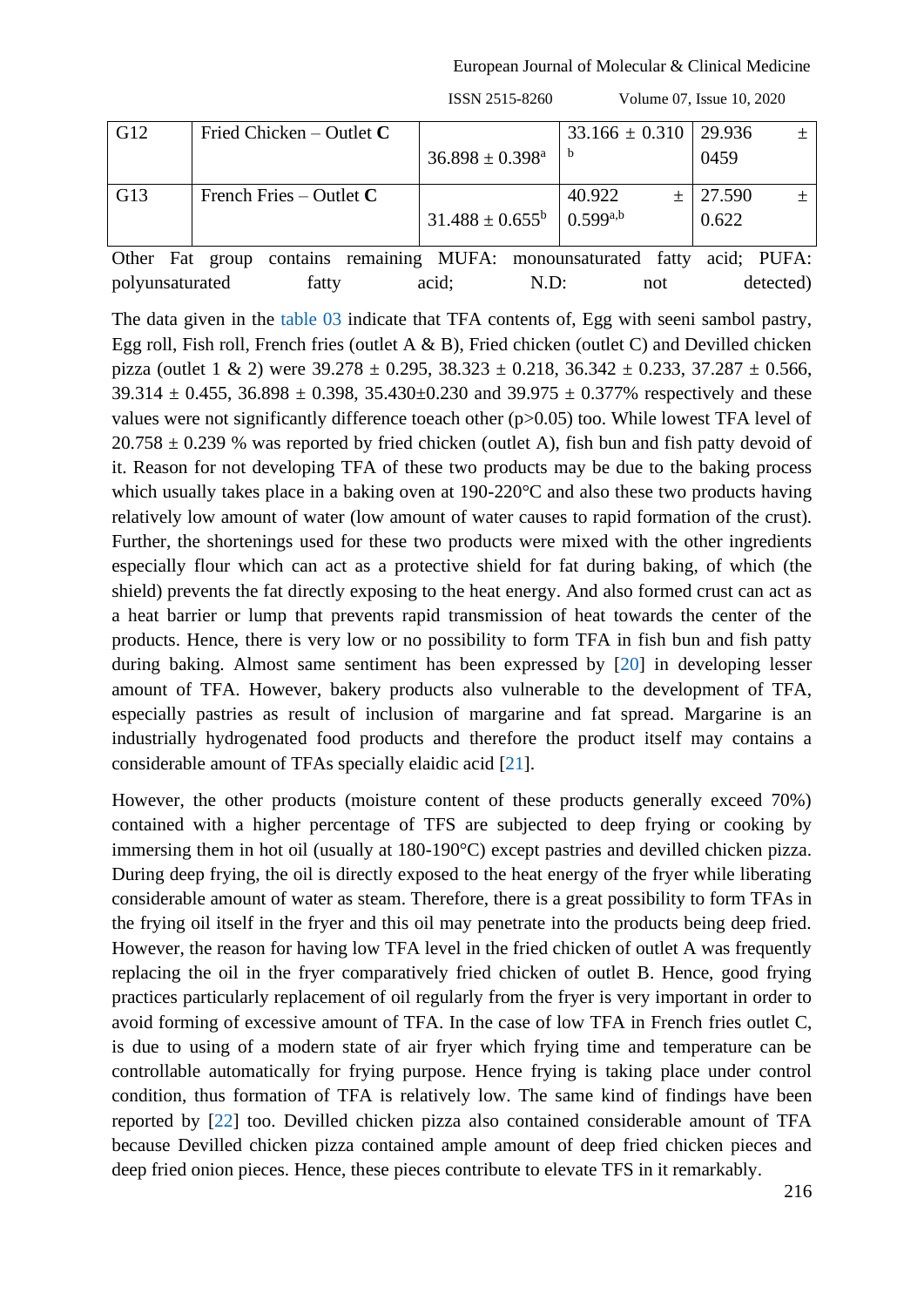European Journal of Molecular & Clinical Medicine

| G12 | Fried Chicken – Outlet $C$ | $36.898 \pm 0.398^{\text{a}}$ | $33.166 \pm 0.310$   29.936 | 0459            | $^{+}$ |
|-----|----------------------------|-------------------------------|-----------------------------|-----------------|--------|
| G13 | French Fries – Outlet $C$  | $31.488 \pm 0.655^b$          | 40.922<br>$0.599^{a,b}$     | 27.590<br>0.622 |        |

Other Fat group contains remaining MUFA: monounsaturated fatty acid; PUFA: polyunsaturated fatty acid; N.D: not detected)

The data given in the [table 03](#page-5-0) indicate that TFA contents of, Egg with seeni sambol pastry, Egg roll, Fish roll, French fries (outlet A  $\&$  B), Fried chicken (outlet C) and Devilled chicken pizza (outlet 1 & 2) were  $39.278 \pm 0.295$ ,  $38.323 \pm 0.218$ ,  $36.342 \pm 0.233$ ,  $37.287 \pm 0.566$ , 39.314  $\pm$  0.455, 36.898  $\pm$  0.398, 35.430 $\pm$ 0.230 and 39.975  $\pm$  0.377% respectively and these values were not significantly difference toeach other (p>0.05) too. While lowest TFA level of  $20.758 \pm 0.239$  % was reported by fried chicken (outlet A), fish bun and fish patty devoid of it. Reason for not developing TFA of these two products may be due to the baking process which usually takes place in a baking oven at 190-220°C and also these two products having relatively low amount of water (low amount of water causes to rapid formation of the crust). Further, the shortenings used for these two products were mixed with the other ingredients especially flour which can act as a protective shield for fat during baking, of which (the shield) prevents the fat directly exposing to the heat energy. And also formed crust can act as a heat barrier or lump that prevents rapid transmission of heat towards the center of the products. Hence, there is very low or no possibility to form TFA in fish bun and fish patty during baking. Almost same sentiment has been expressed by [\[20\]](#page-13-6) in developing lesser amount of TFA. However, bakery products also vulnerable to the development of TFA, especially pastries as result of inclusion of margarine and fat spread. Margarine is an industrially hydrogenated food products and therefore the product itself may contains a considerable amount of TFAs specially elaidic acid [\[21\]](#page-13-7).

However, the other products (moisture content of these products generally exceed 70%) contained with a higher percentage of TFS are subjected to deep frying or cooking by immersing them in hot oil (usually at 180-190°C) except pastries and devilled chicken pizza. During deep frying, the oil is directly exposed to the heat energy of the fryer while liberating considerable amount of water as steam. Therefore, there is a great possibility to form TFAs in the frying oil itself in the fryer and this oil may penetrate into the products being deep fried. However, the reason for having low TFA level in the fried chicken of outlet A was frequently replacing the oil in the fryer comparatively fried chicken of outlet B. Hence, good frying practices particularly replacement of oil regularly from the fryer is very important in order to avoid forming of excessive amount of TFA. In the case of low TFA in French fries outlet C, is due to using of a modern state of air fryer which frying time and temperature can be controllable automatically for frying purpose. Hence frying is taking place under control condition, thus formation of TFA is relatively low. The same kind of findings have been reported by [\[22\]](#page-13-8) too. Devilled chicken pizza also contained considerable amount of TFA because Devilled chicken pizza contained ample amount of deep fried chicken pieces and deep fried onion pieces. Hence, these pieces contribute to elevate TFS in it remarkably.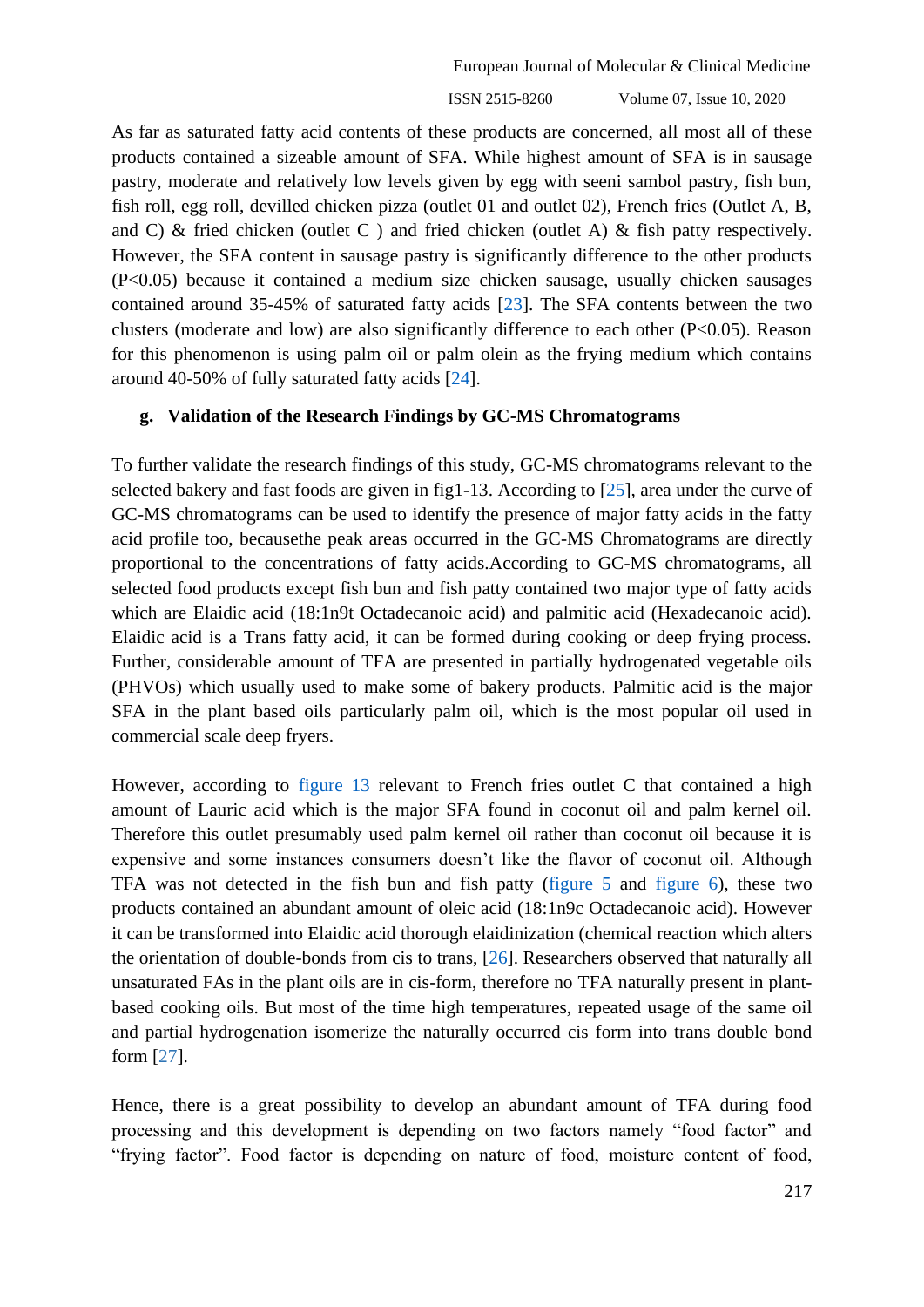As far as saturated fatty acid contents of these products are concerned, all most all of these products contained a sizeable amount of SFA. While highest amount of SFA is in sausage pastry, moderate and relatively low levels given by egg with seeni sambol pastry, fish bun, fish roll, egg roll, devilled chicken pizza (outlet 01 and outlet 02), French fries (Outlet A, B, and C) & fried chicken (outlet C) and fried chicken (outlet A) & fish patty respectively. However, the SFA content in sausage pastry is significantly difference to the other products (P<0.05) because it contained a medium size chicken sausage, usually chicken sausages contained around 35-45% of saturated fatty acids [\[23\]](#page-13-9). The SFA contents between the two clusters (moderate and low) are also significantly difference to each other (P<0.05). Reason for this phenomenon is using palm oil or palm olein as the frying medium which contains around 40-50% of fully saturated fatty acids [\[24\]](#page-13-10).

#### **g. Validation of the Research Findings by GC-MS Chromatograms**

To further validate the research findings of this study, GC-MS chromatograms relevant to the selected bakery and fast foods are given in fig1-13. According to [\[25\]](#page-13-11), area under the curve of GC-MS chromatograms can be used to identify the presence of major fatty acids in the fatty acid profile too, becausethe peak areas occurred in the GC-MS Chromatograms are directly proportional to the concentrations of fatty acids.According to GC-MS chromatograms, all selected food products except fish bun and fish patty contained two major type of fatty acids which are Elaidic acid (18:1n9t Octadecanoic acid) and palmitic acid (Hexadecanoic acid). Elaidic acid is a Trans fatty acid, it can be formed during cooking or deep frying process. Further, considerable amount of TFA are presented in partially hydrogenated vegetable oils (PHVOs) which usually used to make some of bakery products. Palmitic acid is the major SFA in the plant based oils particularly palm oil, which is the most popular oil used in commercial scale deep fryers.

However, according to [figure 13](#page-10-0) relevant to French fries outlet C that contained a high amount of Lauric acid which is the major SFA found in coconut oil and palm kernel oil. Therefore this outlet presumably used palm kernel oil rather than coconut oil because it is expensive and some instances consumers doesn't like the flavor of coconut oil. Although TFA was not detected in the fish bun and fish patty [\(figure 5](#page-9-0) and [figure 6\)](#page-9-1), these two products contained an abundant amount of oleic acid (18:1n9c Octadecanoic acid). However it can be transformed into Elaidic acid thorough elaidinization (chemical reaction which alters the orientation of double-bonds from cis to trans, [\[26\]](#page-13-12). Researchers observed that naturally all unsaturated FAs in the plant oils are in cis-form, therefore no TFA naturally present in plantbased cooking oils. But most of the time high temperatures, repeated usage of the same oil and partial hydrogenation isomerize the naturally occurred cis form into trans double bond form [\[27\]](#page-13-13).

Hence, there is a great possibility to develop an abundant amount of TFA during food processing and this development is depending on two factors namely "food factor" and "frying factor". Food factor is depending on nature of food, moisture content of food,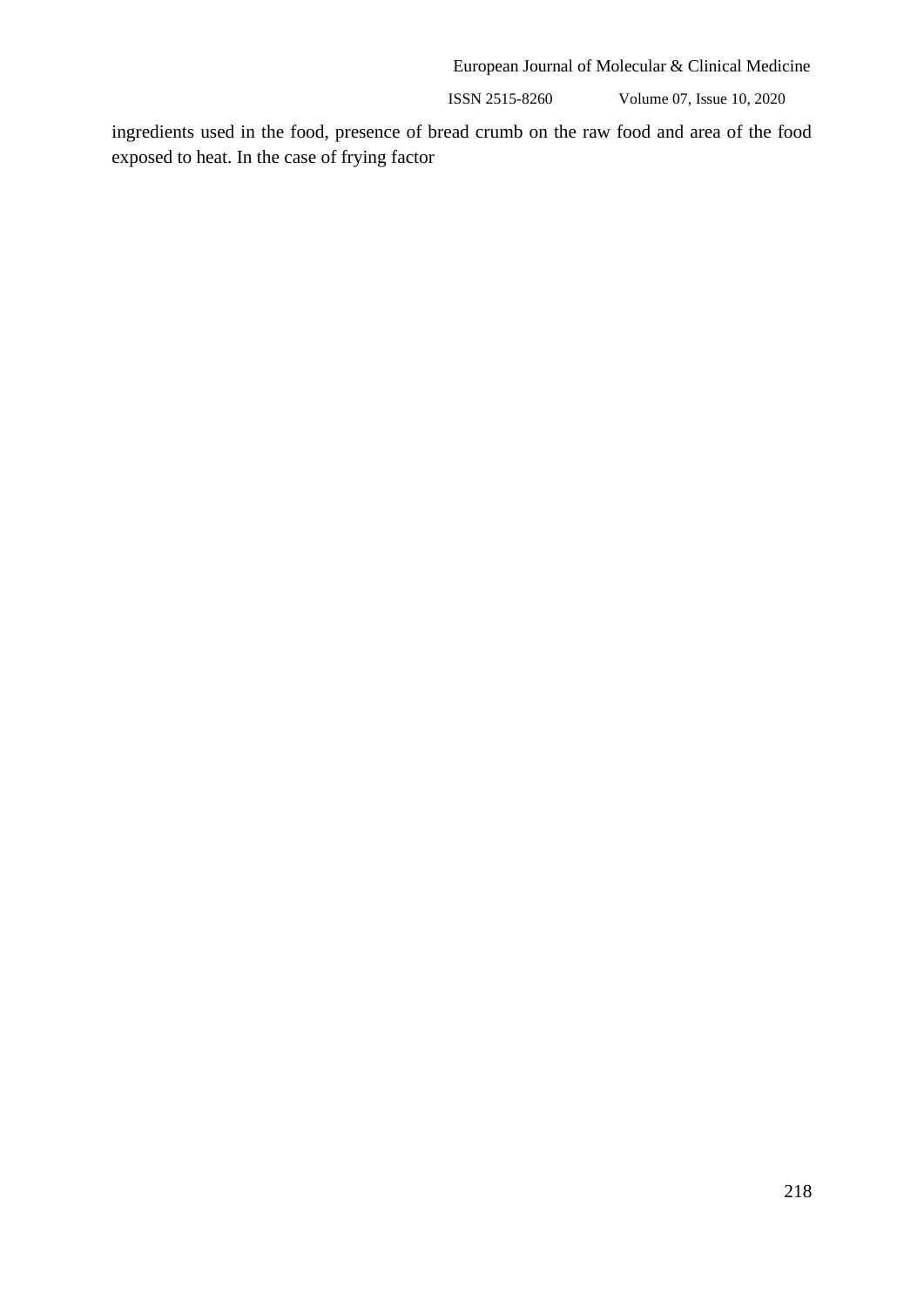ISSN 2515-8260 Volume 07, Issue 10, 2020

ingredients used in the food, presence of bread crumb on the raw food and area of the food exposed to heat. In the case of frying factor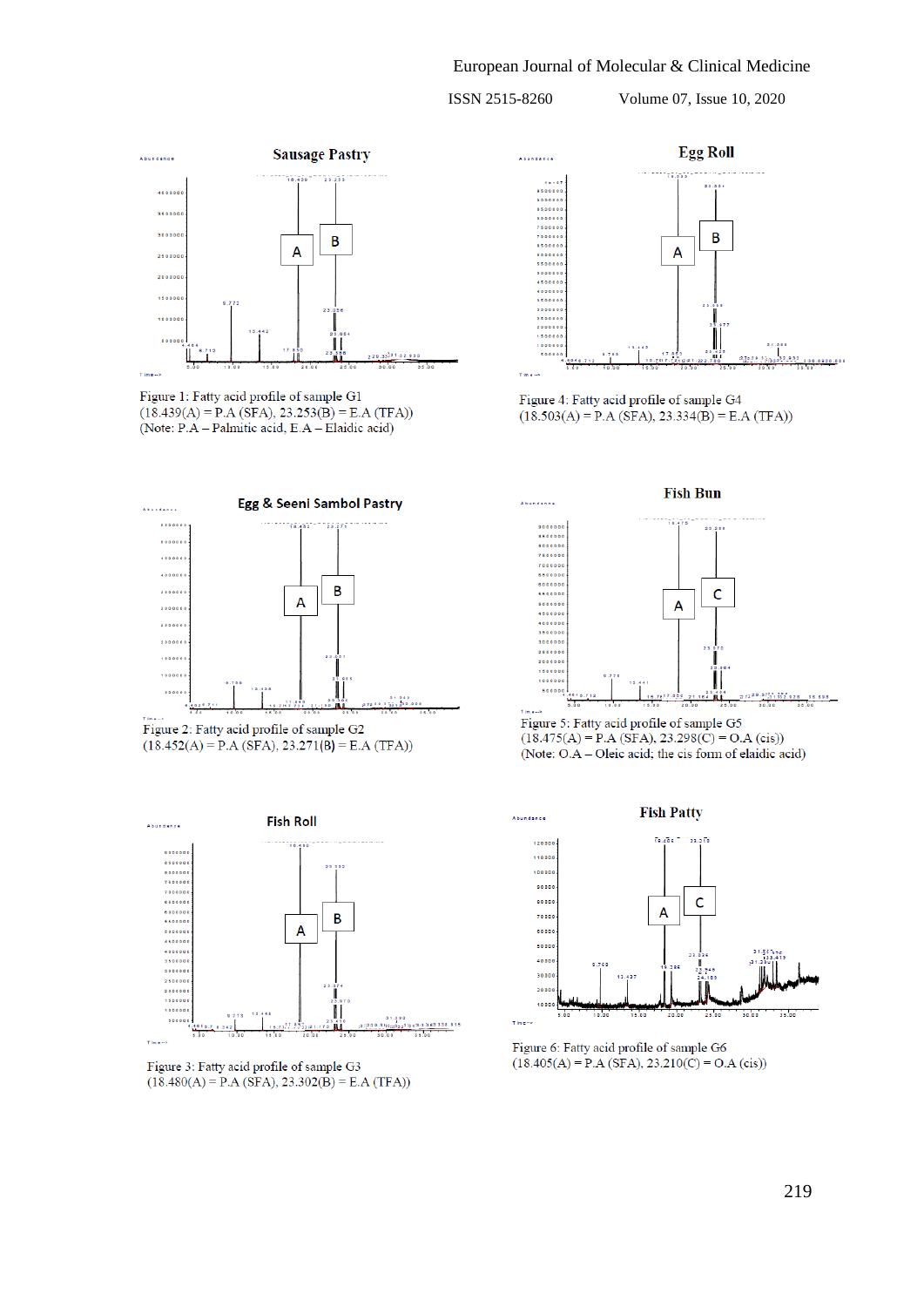

Figure 1: Fatty acid profile of sample G1  $(18.439(A) = P.A (SFA), 23.253(B) = E.A (TFA))$ (Note: P.A - Palmitic acid, E.A - Elaidic acid)

<span id="page-9-0"></span>



<span id="page-9-1"></span>

Figure 3: Fatty acid profile of sample G3  $(18.480(A) = P.A (SFA), 23.302(B) = E.A (TFA))$ 



Figure 4: Fatty acid profile of sample G4  $(18.503(A) = P.A (SFA), 23.334(B) = E.A (TFA))$ 



Figure 5: Fatty acid profile of sample G5  $(18.475(A) = P.A (SFA), 23.298(C) = O.A (cis))$ (Note: O.A - Oleic acid; the cis form of elaidic acid)



Figure 6: Fatty acid profile of sample G6  $(18.405(A) = P.A (SFA), 23.210(C) = O.A (cis))$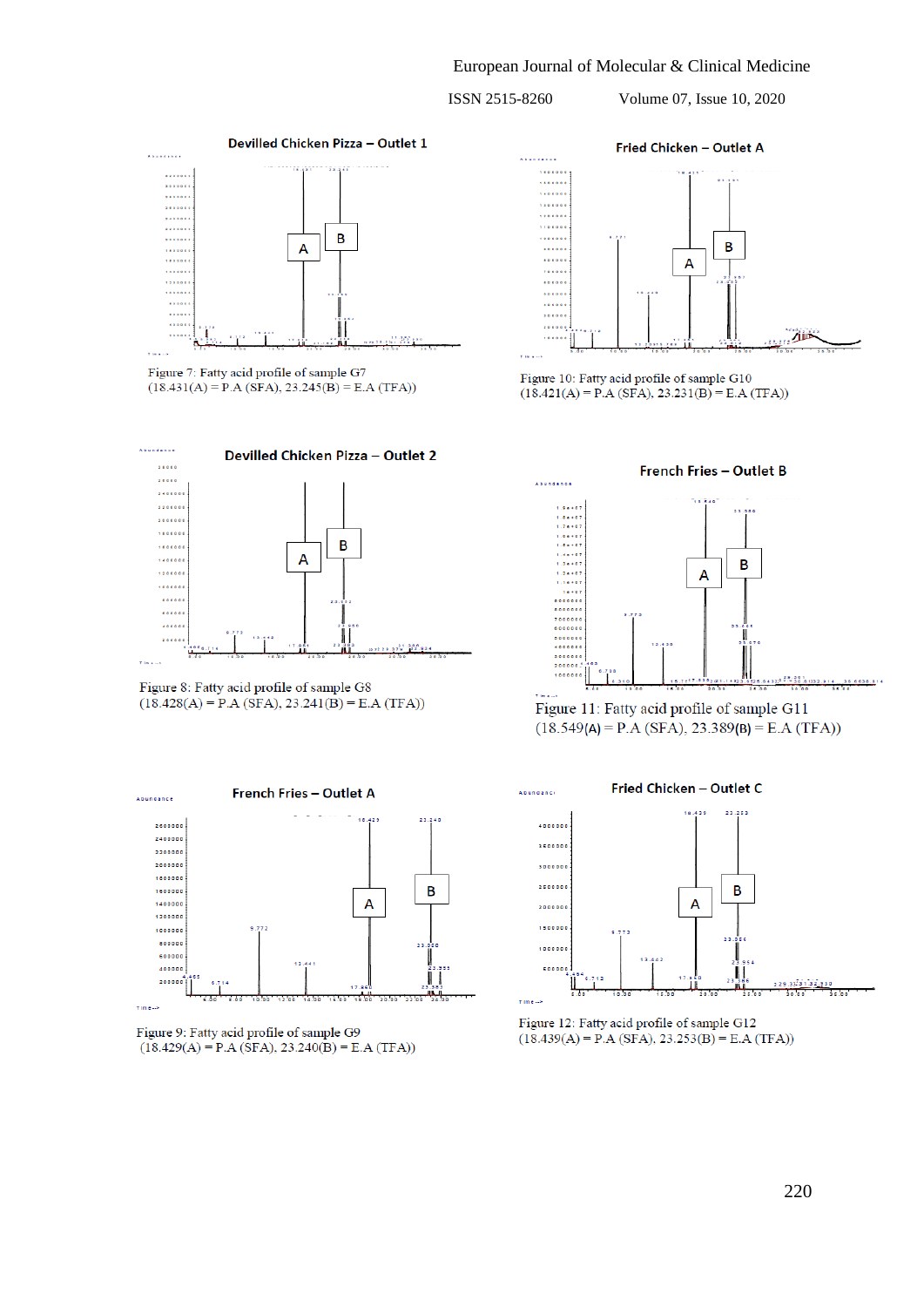<span id="page-10-0"></span>

Figure 7: Fatty acid profile of sample G7  $(18.431(A) = P.A (SFA), 23.245(B) = E.A (TFA))$ 



Figure 8: Fatty acid profile of sample G8  $(18.428(A) = P.A (SFA), 23.241(B) = E.A (TFA))$ 



Figure 9: Fatty acid profile of sample G9  $(18.429(A) = P.A (SFA), 23.240(B) = E.A (TFA))$ 



Figure 10: Fatty acid profile of sample G10  $(18.421(A) = P.A (SFA), 23.231(B) = E.A (TFA))$ 



Figure 11: Fatty acid profile of sample G11  $(18.549(A) = P.A (SFA), 23.389(B) = E.A (TFA))$ 



Figure 12: Fatty acid profile of sample G12  $(18.439(A) = P.A (SFA), 23.253(B) = E.A (TFA))$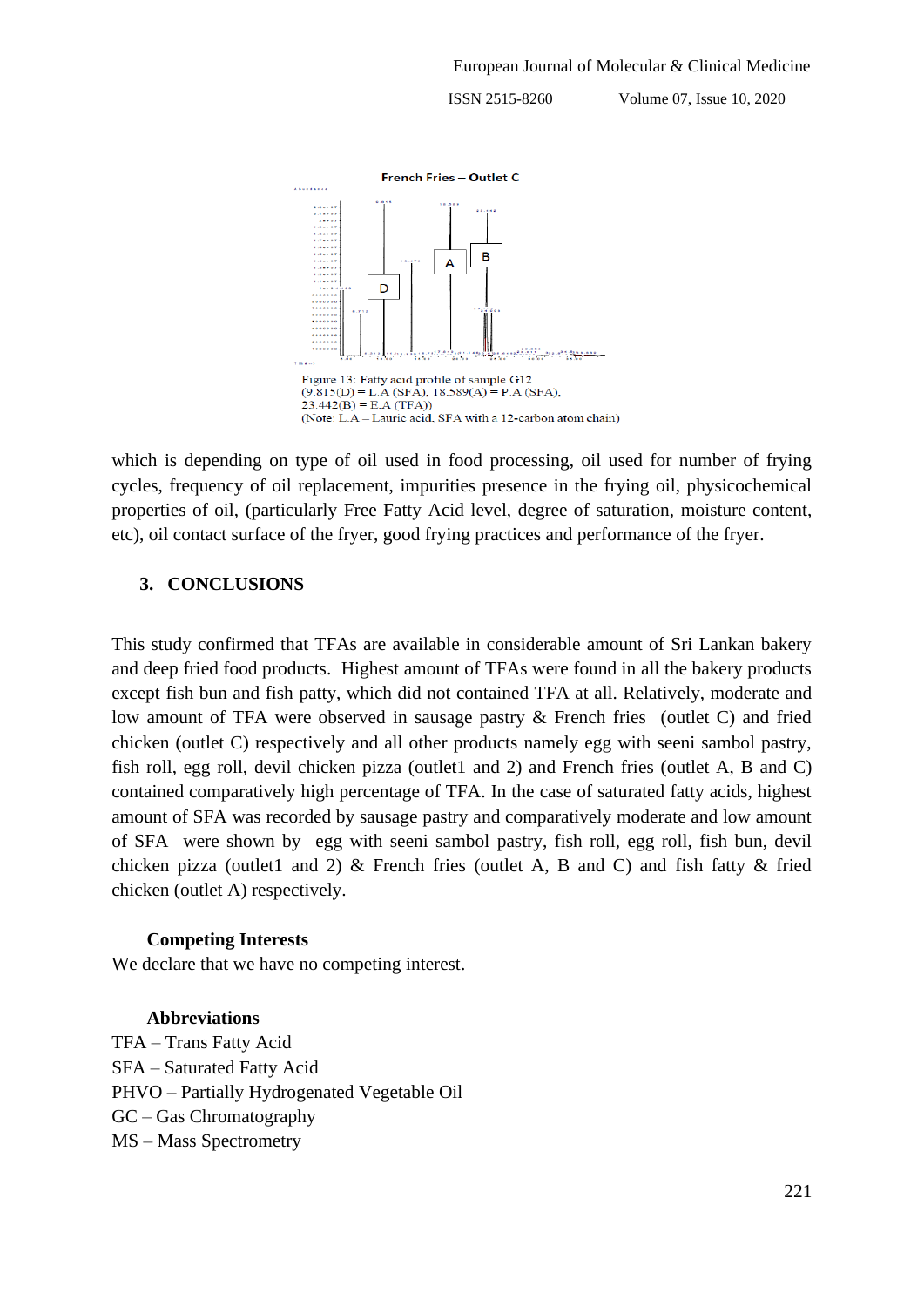

which is depending on type of oil used in food processing, oil used for number of frying cycles, frequency of oil replacement, impurities presence in the frying oil, physicochemical properties of oil, (particularly Free Fatty Acid level, degree of saturation, moisture content, etc), oil contact surface of the fryer, good frying practices and performance of the fryer.

#### **3. CONCLUSIONS**

This study confirmed that TFAs are available in considerable amount of Sri Lankan bakery and deep fried food products. Highest amount of TFAs were found in all the bakery products except fish bun and fish patty, which did not contained TFA at all. Relatively, moderate and low amount of TFA were observed in sausage pastry & French fries (outlet C) and fried chicken (outlet C) respectively and all other products namely egg with seeni sambol pastry, fish roll, egg roll, devil chicken pizza (outlet1 and 2) and French fries (outlet A, B and C) contained comparatively high percentage of TFA. In the case of saturated fatty acids, highest amount of SFA was recorded by sausage pastry and comparatively moderate and low amount of SFA were shown by egg with seeni sambol pastry, fish roll, egg roll, fish bun, devil chicken pizza (outlet1 and 2)  $\&$  French fries (outlet A, B and C) and fish fatty  $\&$  fried chicken (outlet A) respectively.

#### **Competing Interests**

We declare that we have no competing interest.

#### **Abbreviations**

TFA – Trans Fatty Acid SFA – Saturated Fatty Acid PHVO – Partially Hydrogenated Vegetable Oil GC – Gas Chromatography MS – Mass Spectrometry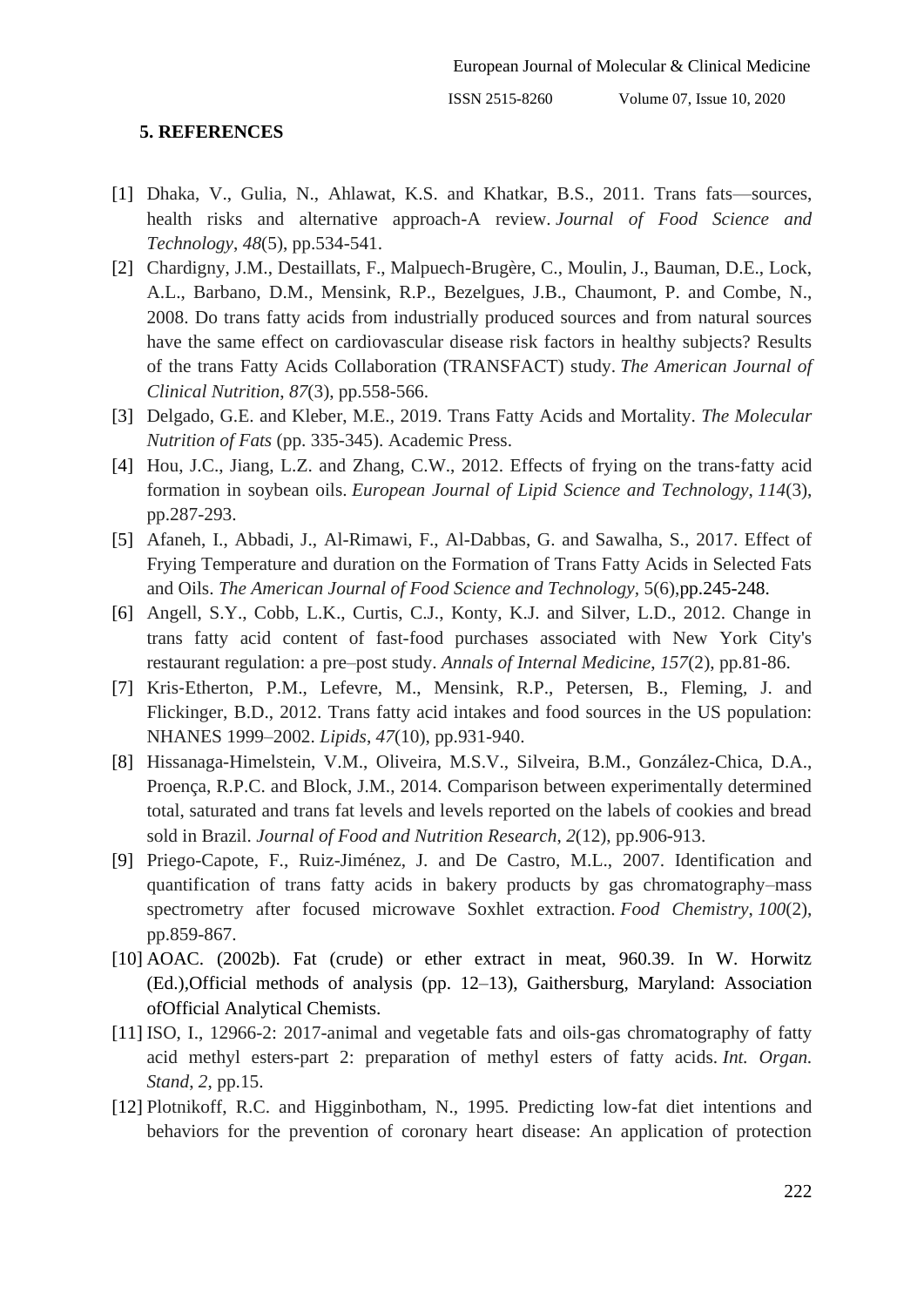#### **5. REFERENCES**

- <span id="page-12-0"></span>[1] Dhaka, V., Gulia, N., Ahlawat, K.S. and Khatkar, B.S., 2011. Trans fats—sources, health risks and alternative approach-A review. *Journal of Food Science and Technology*, *48*(5), pp.534-541.
- <span id="page-12-1"></span>[2] Chardigny, J.M., Destaillats, F., Malpuech-Brugère, C., Moulin, J., Bauman, D.E., Lock, A.L., Barbano, D.M., Mensink, R.P., Bezelgues, J.B., Chaumont, P. and Combe, N., 2008. Do trans fatty acids from industrially produced sources and from natural sources have the same effect on cardiovascular disease risk factors in healthy subjects? Results of the trans Fatty Acids Collaboration (TRANSFACT) study. *The American Journal of Clinical Nutrition*, *87*(3), pp.558-566.
- <span id="page-12-2"></span>[3] Delgado, G.E. and Kleber, M.E., 2019. Trans Fatty Acids and Mortality. *The Molecular Nutrition of Fats* (pp. 335-345). Academic Press.
- <span id="page-12-3"></span>[4] Hou, J.C., Jiang, L.Z. and Zhang, C.W., 2012. Effects of frying on the trans-fatty acid formation in soybean oils. *European Journal of Lipid Science and Technology*, *114*(3), pp.287-293.
- <span id="page-12-4"></span>[5] Afaneh, I., Abbadi, J., Al-Rimawi, F., Al-Dabbas, G. and Sawalha, S., 2017. Effect of Frying Temperature and duration on the Formation of Trans Fatty Acids in Selected Fats and Oils. *The American Journal of Food Science and Technology,* 5(6),pp.245-248.
- <span id="page-12-5"></span>[6] Angell, S.Y., Cobb, L.K., Curtis, C.J., Konty, K.J. and Silver, L.D., 2012. Change in trans fatty acid content of fast-food purchases associated with New York City's restaurant regulation: a pre–post study. *Annals of Internal Medicine*, *157*(2), pp.81-86.
- <span id="page-12-6"></span>[7] Kris-Etherton, P.M., Lefevre, M., Mensink, R.P., Petersen, B., Fleming, J. and Flickinger, B.D., 2012. Trans fatty acid intakes and food sources in the US population: NHANES 1999–2002. *Lipids*, *47*(10), pp.931-940.
- <span id="page-12-7"></span>[8] Hissanaga-Himelstein, V.M., Oliveira, M.S.V., Silveira, B.M., González-Chica, D.A., Proença, R.P.C. and Block, J.M., 2014. Comparison between experimentally determined total, saturated and trans fat levels and levels reported on the labels of cookies and bread sold in Brazil. *Journal of Food and Nutrition Research*, *2*(12), pp.906-913.
- <span id="page-12-8"></span>[9] Priego-Capote, F., Ruiz-Jiménez, J. and De Castro, M.L., 2007. Identification and quantification of trans fatty acids in bakery products by gas chromatography–mass spectrometry after focused microwave Soxhlet extraction. *Food Chemistry*, *100*(2), pp.859-867.
- <span id="page-12-9"></span>[10] AOAC. (2002b). Fat (crude) or ether extract in meat, 960.39. In W. Horwitz (Ed.),Official methods of analysis (pp. 12–13), Gaithersburg, Maryland: Association ofOfficial Analytical Chemists.
- <span id="page-12-10"></span>[11] ISO, I., 12966-2: 2017-animal and vegetable fats and oils-gas chromatography of fatty acid methyl esters-part 2: preparation of methyl esters of fatty acids. *Int. Organ. Stand*, *2*, pp.15.
- <span id="page-12-11"></span>[12] Plotnikoff, R.C. and Higginbotham, N., 1995. Predicting low-fat diet intentions and behaviors for the prevention of coronary heart disease: An application of protection